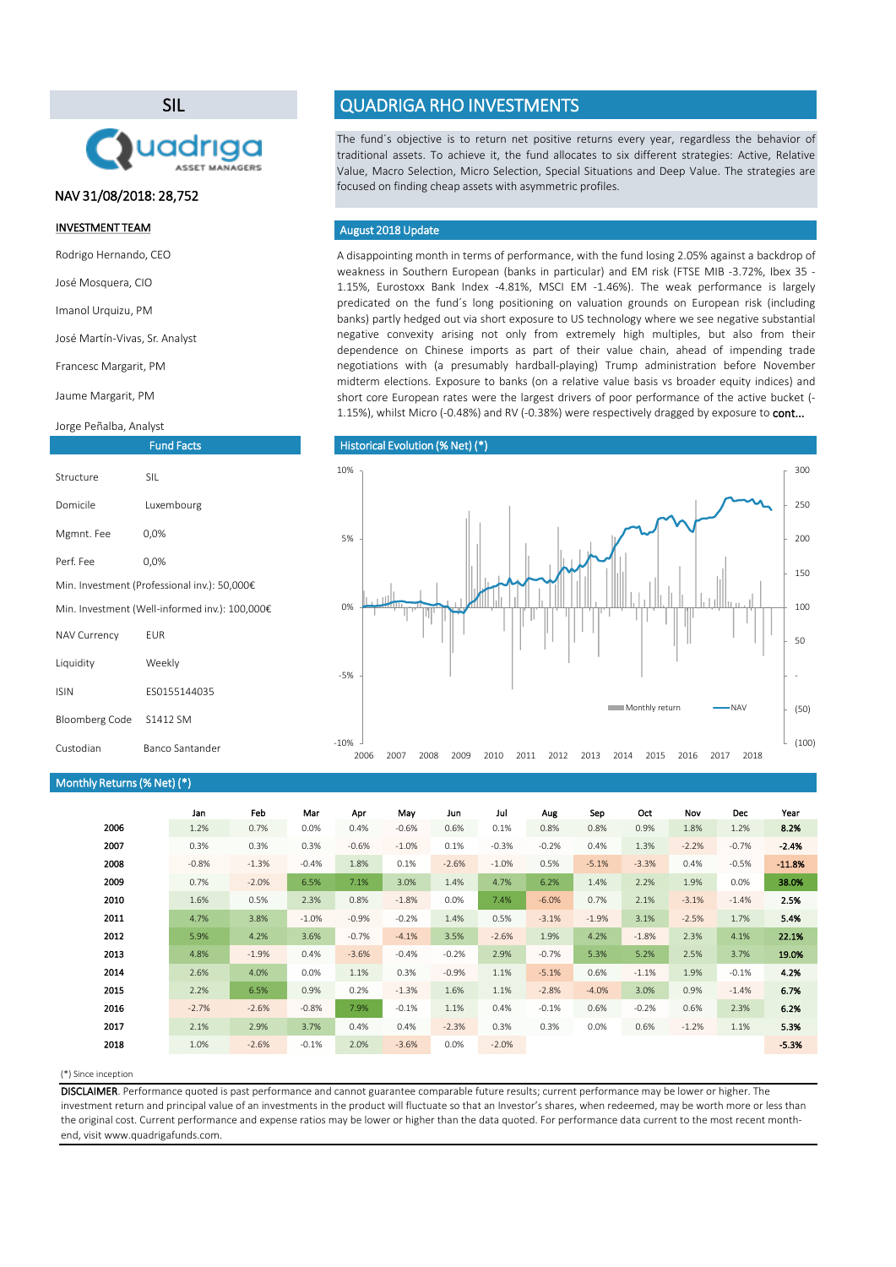A disappointing month in terms of performance, with the fund losing 2.05% against a backdrop of weakness in Southern European (banks in particular) and EM risk (FTSE MIB -3.72%, Ibex 35 - 1.15%, Eurostoxx Bank Index -4.81%, MSCI EM -1.46%). The weak performance is largely predicated on the fund´s long positioning on valuation grounds on European risk (including banks) partly hedged out via short exposure to US technology where we see negative substantial negative convexity arising not only from extremely high multiples, but also from their dependence on Chinese imports as part of their value chain, ahead of impending trade negotiations with (a presumably hardball-playing) Trump administration before November midterm elections. Exposure to banks (on a relative value basis vs broader equity indices) and short core European rates were the largest drivers of poor performance of the active bucket (- 1.15%), whilst Micro (-0.48%) and RV (-0.38%) were respectively dragged by exposure to cont...

## (\*) Since inception

|      | Jan     | Feb     | Mar     | Apr     | May     | Jun     | Jul     | Aug     | Sep     | Oct     | Nov     | <b>Dec</b> | Year     |
|------|---------|---------|---------|---------|---------|---------|---------|---------|---------|---------|---------|------------|----------|
| 2006 | 1.2%    | 0.7%    | 0.0%    | 0.4%    | $-0.6%$ | 0.6%    | 0.1%    | 0.8%    | 0.8%    | 0.9%    | 1.8%    | 1.2%       | 8.2%     |
| 2007 | 0.3%    | 0.3%    | 0.3%    | $-0.6%$ | $-1.0%$ | 0.1%    | $-0.3%$ | $-0.2%$ | 0.4%    | 1.3%    | $-2.2%$ | $-0.7%$    | $-2.4%$  |
| 2008 | $-0.8%$ | $-1.3%$ | $-0.4%$ | 1.8%    | 0.1%    | $-2.6%$ | $-1.0%$ | 0.5%    | $-5.1%$ | $-3.3%$ | 0.4%    | $-0.5%$    | $-11.8%$ |
| 2009 | 0.7%    | $-2.0%$ | 6.5%    | 7.1%    | 3.0%    | 1.4%    | 4.7%    | 6.2%    | 1.4%    | 2.2%    | 1.9%    | $0.0\%$    | 38.0%    |
| 2010 | 1.6%    | 0.5%    | 2.3%    | 0.8%    | $-1.8%$ | 0.0%    | 7.4%    | $-6.0%$ | 0.7%    | 2.1%    | $-3.1%$ | $-1.4%$    | 2.5%     |
| 2011 | 4.7%    | 3.8%    | $-1.0%$ | $-0.9%$ | $-0.2%$ | 1.4%    | 0.5%    | $-3.1%$ | $-1.9%$ | 3.1%    | $-2.5%$ | 1.7%       | 5.4%     |
| 2012 | 5.9%    | 4.2%    | 3.6%    | $-0.7%$ | $-4.1%$ | 3.5%    | $-2.6%$ | 1.9%    | 4.2%    | $-1.8%$ | 2.3%    | 4.1%       | 22.1%    |
| 2013 | 4.8%    | $-1.9%$ | 0.4%    | $-3.6%$ | $-0.4%$ | $-0.2%$ | 2.9%    | $-0.7%$ | 5.3%    | 5.2%    | 2.5%    | 3.7%       | 19.0%    |
| 2014 | 2.6%    | 4.0%    | 0.0%    | 1.1%    | 0.3%    | $-0.9%$ | 1.1%    | $-5.1%$ | 0.6%    | $-1.1%$ | 1.9%    | $-0.1%$    | 4.2%     |
| 2015 | 2.2%    | 6.5%    | 0.9%    | 0.2%    | $-1.3%$ | 1.6%    | 1.1%    | $-2.8%$ | $-4.0%$ | 3.0%    | 0.9%    | $-1.4%$    | 6.7%     |
| 2016 | $-2.7%$ | $-2.6%$ | $-0.8%$ | 7.9%    | $-0.1%$ | 1.1%    | 0.4%    | $-0.1%$ | 0.6%    | $-0.2%$ | 0.6%    | 2.3%       | 6.2%     |
| 2017 | 2.1%    | 2.9%    | 3.7%    | 0.4%    | 0.4%    | $-2.3%$ | 0.3%    | 0.3%    | 0.0%    | 0.6%    | $-1.2%$ | 1.1%       | 5.3%     |
| 2018 | 1.0%    | $-2.6%$ | $-0.1%$ | 2.0%    | $-3.6%$ | 0.0%    | $-2.0%$ |         |         |         |         |            | $-5.3%$  |

The fund´s objective is to return net positive returns every year, regardless the behavior of traditional assets. To achieve it, the fund allocates to six different strategies: Active, Relative Value, Macro Selection, Micro Selection, Special Situations and Deep Value. The strategies are focused on finding cheap assets with asymmetric profiles.

DISCLAIMER. Performance quoted is past performance and cannot guarantee comparable future results; current performance may be lower or higher. The investment return and principal value of an investments in the product will fluctuate so that an Investor's shares, when redeemed, may be worth more or less than the original cost. Current performance and expense ratios may be lower or higher than the data quoted. For performance data current to the most recent monthend, visit www.quadrigafunds.com.

## INVESTMENT TEAM

Rodrigo Hernando, CEO

José Mosquera, CIO

Imanol Urquizu, PM

José Martín-Vivas, Sr. Analyst

Francesc Margarit, PM

Jaume Margarit, PM

Jorge Peñalba, Analyst

## SIL



Fund Facts

## QUADRIGA RHO INVESTMENTS

| Structure                                      | <b>SIL</b>   |  |  |  |  |
|------------------------------------------------|--------------|--|--|--|--|
| Domicile                                       | Luxembourg   |  |  |  |  |
| Mgmnt. Fee                                     | 0,0%         |  |  |  |  |
| Perf. Fee                                      | 0,0%         |  |  |  |  |
| Min. Investment (Professional inv.): 50,000€   |              |  |  |  |  |
| Min. Investment (Well-informed inv.): 100,000€ |              |  |  |  |  |
| <b>NAV Currency</b>                            | <b>EUR</b>   |  |  |  |  |
| Liquidity                                      | Weekly       |  |  |  |  |
| <b>ISIN</b>                                    | ES0155144035 |  |  |  |  |
|                                                |              |  |  |  |  |

Bloomberg Code S1412 SM

## August 2018 Update

## Historical Evolution (% Net) (\*)

## NAV 31/08/2018: 28,752

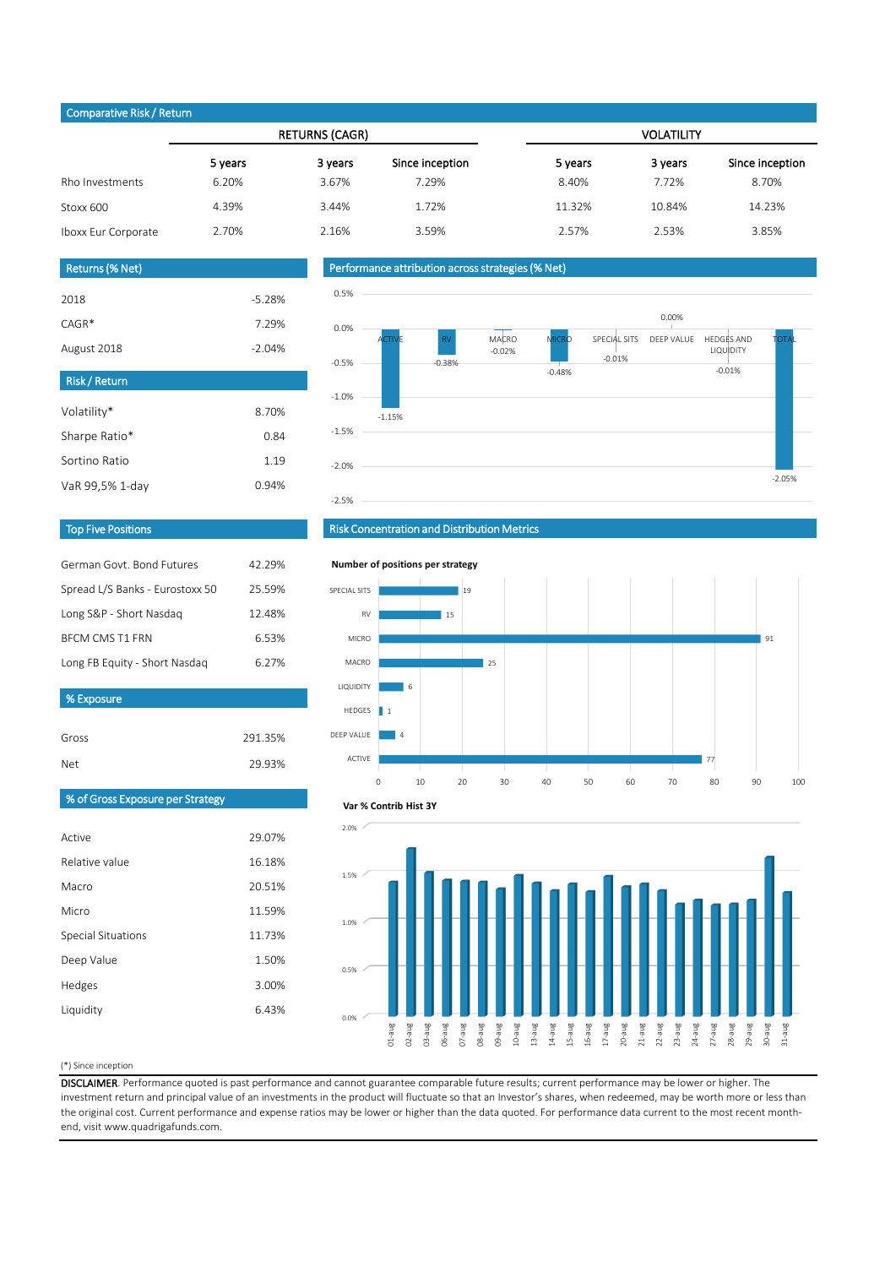## (\*) Since inception

DISCLAIMER. Performance quoted is past performance and cannot guarantee comparable future results; current performance may be lower or higher. The investment return and principal value of an investments in the product will fluctuate so that an Investor's shares, when redeemed, may be worth more or less than the original cost. Current performance and expense ratios may be lower or higher than the data quoted. For performance data current to the most recent monthend, visit www.quadrigafunds.com.

| Gross | 291.35% |
|-------|---------|
| Net   | 29.93%  |

| $\sim$ post set $\sim$ $\sim$ $\sim$ |         |                       |                 |                   |         |                 |  |  |
|--------------------------------------|---------|-----------------------|-----------------|-------------------|---------|-----------------|--|--|
|                                      |         | <b>RETURNS (CAGR)</b> |                 | <b>VOLATILITY</b> |         |                 |  |  |
|                                      | 5 years | 3 years               | Since inception | 5 years           | 3 years | Since inception |  |  |
| Rho Investments                      | 6.20%   | 3.67%                 | 7.29%           | 8.40%             | 7.72%   | 8.70%           |  |  |
| Stoxx 600                            | 4.39%   | 3.44%                 | 1.72%           | 11.32%            | 10.84%  | 14.23%          |  |  |
| Iboxx Eur Corporate                  | 2.70%   | 2.16%                 | 3.59%           | 2.57%             | 2.53%   | 3.85%           |  |  |

| Active                    | 29.07% |
|---------------------------|--------|
| Relative value            | 16.18% |
| Macro                     | 20.51% |
| Micro                     | 11.59% |
| <b>Special Situations</b> | 11.73% |
| Deep Value                | 1.50%  |
| Hedges                    | 3.00%  |
| Liquidity                 | 6.43%  |
|                           |        |

| German Govt, Bond Futures       | 42.29% |
|---------------------------------|--------|
| Spread L/S Banks - Eurostoxx 50 | 25.59% |
| Long S&P - Short Nasdaq         | 12.48% |
| <b>BFCM CMS T1 FRN</b>          | 6.53%  |
| Long FB Equity - Short Nasdaq   | 6.27%  |

| <b>Risk/Return</b> |       |
|--------------------|-------|
| Volatility*        | 8.70% |
| Sharpe Ratio*      | 0.84  |
| Sortino Ratio      | 1.19  |
| VaR 99,5% 1-day    | 0.94% |

| <b>Returns (% Net)</b> |          |
|------------------------|----------|
| 2018                   | $-5.28%$ |
| $CAGR*$                | 7.29%    |
| August 2018            | $-2.04%$ |

# Top Five Positions



## Risk Concentration and Distribution Metrics

## Performance attribution across strategies (% Net)

## Comparative Risk / Return

% Exposure





**Number of positions per strategy**



#### **Var % Contrib Hist 3Y**